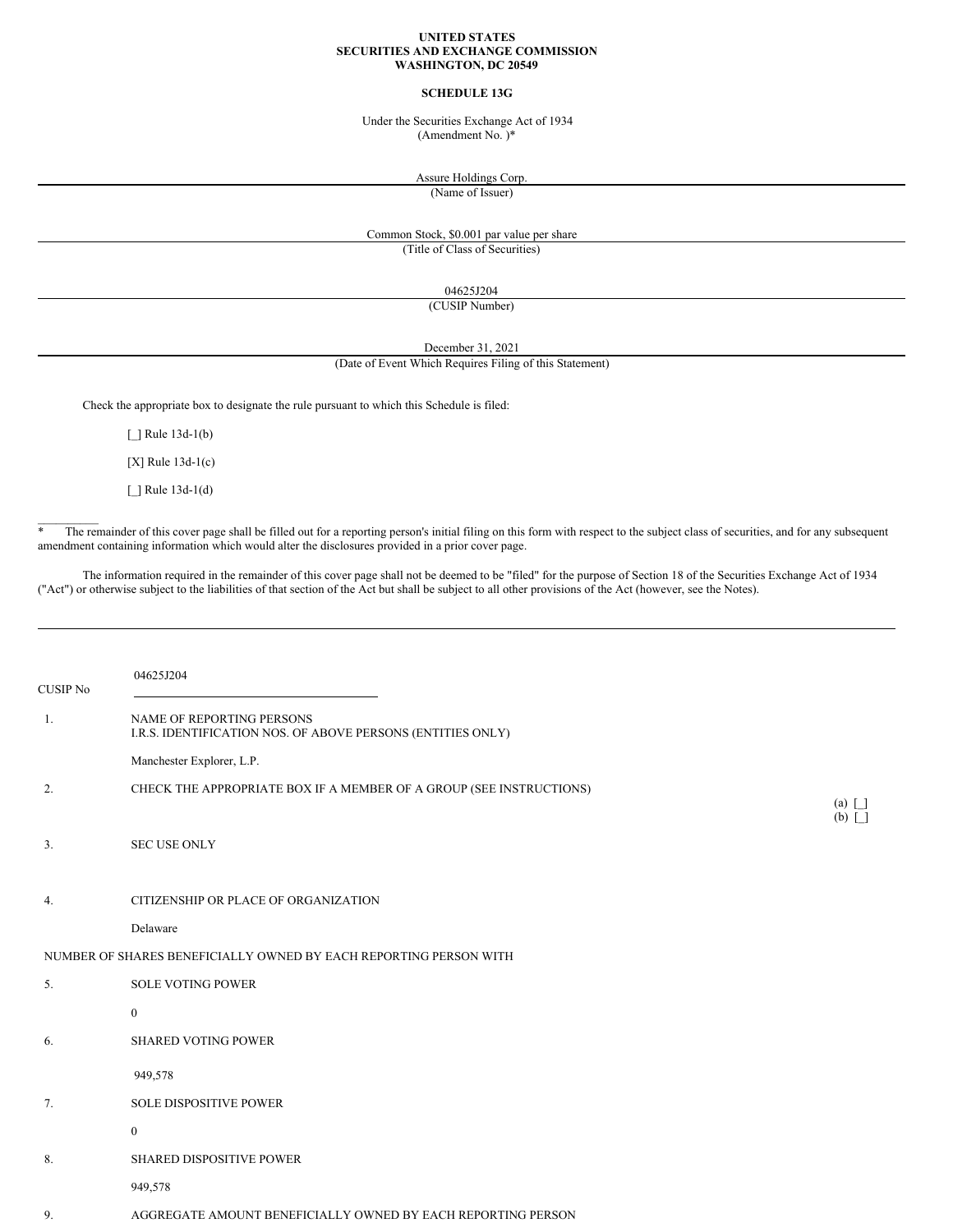#### **UNITED STATES SECURITIES AND EXCHANGE COMMISSION WASHINGTON, DC 20549**

# **SCHEDULE 13G**

Under the Securities Exchange Act of 1934 (Amendment No. )\*

Assure Holdings Corp.

(Name of Issuer)

# Common Stock, \$0.001 par value per share (Title of Class of Securities)

04625J204

(CUSIP Number)

December 31, 2021

# (Date of Event Which Requires Filing of this Statement)

Check the appropriate box to designate the rule pursuant to which this Schedule is filed:

[ ] Rule 13d-1(b)

[X] Rule 13d-1(c)

[\_] Rule 13d-1(d)

 $\mathcal{L}=\mathcal{L}$ 

\* The remainder of this cover page shall be filled out for a reporting person's initial filing on this form with respect to the subject class of securities, and for any subsequent amendment containing information which would alter the disclosures provided in a prior cover page.

The information required in the remainder of this cover page shall not be deemed to be "filed" for the purpose of Section 18 of the Securities Exchange Act of 1934 ("Act") or otherwise subject to the liabilities of that section of the Act but shall be subject to all other provisions of the Act (however, see the Notes).

| <b>CUSIP No</b> | 04625J204                                                                                |                              |
|-----------------|------------------------------------------------------------------------------------------|------------------------------|
| 1.              | NAME OF REPORTING PERSONS<br>I.R.S. IDENTIFICATION NOS. OF ABOVE PERSONS (ENTITIES ONLY) |                              |
|                 | Manchester Explorer, L.P.                                                                |                              |
| 2.              | CHECK THE APPROPRIATE BOX IF A MEMBER OF A GROUP (SEE INSTRUCTIONS)                      | $(a)$ $\Box$<br>$(b)$ $\Box$ |
| 3.              | <b>SEC USE ONLY</b>                                                                      |                              |
| 4.              | CITIZENSHIP OR PLACE OF ORGANIZATION                                                     |                              |
|                 | Delaware                                                                                 |                              |
|                 | NUMBER OF SHARES BENEFICIALLY OWNED BY EACH REPORTING PERSON WITH                        |                              |
| 5.              | <b>SOLE VOTING POWER</b>                                                                 |                              |
|                 | $\boldsymbol{0}$                                                                         |                              |
| 6.              | <b>SHARED VOTING POWER</b>                                                               |                              |
|                 | 949,578                                                                                  |                              |
| 7.              | <b>SOLE DISPOSITIVE POWER</b>                                                            |                              |
|                 | $\boldsymbol{0}$                                                                         |                              |
| 8.              | SHARED DISPOSITIVE POWER                                                                 |                              |
|                 | 949,578                                                                                  |                              |
| 9.              | AGGREGATE AMOUNT BENEFICIALLY OWNED BY EACH REPORTING PERSON                             |                              |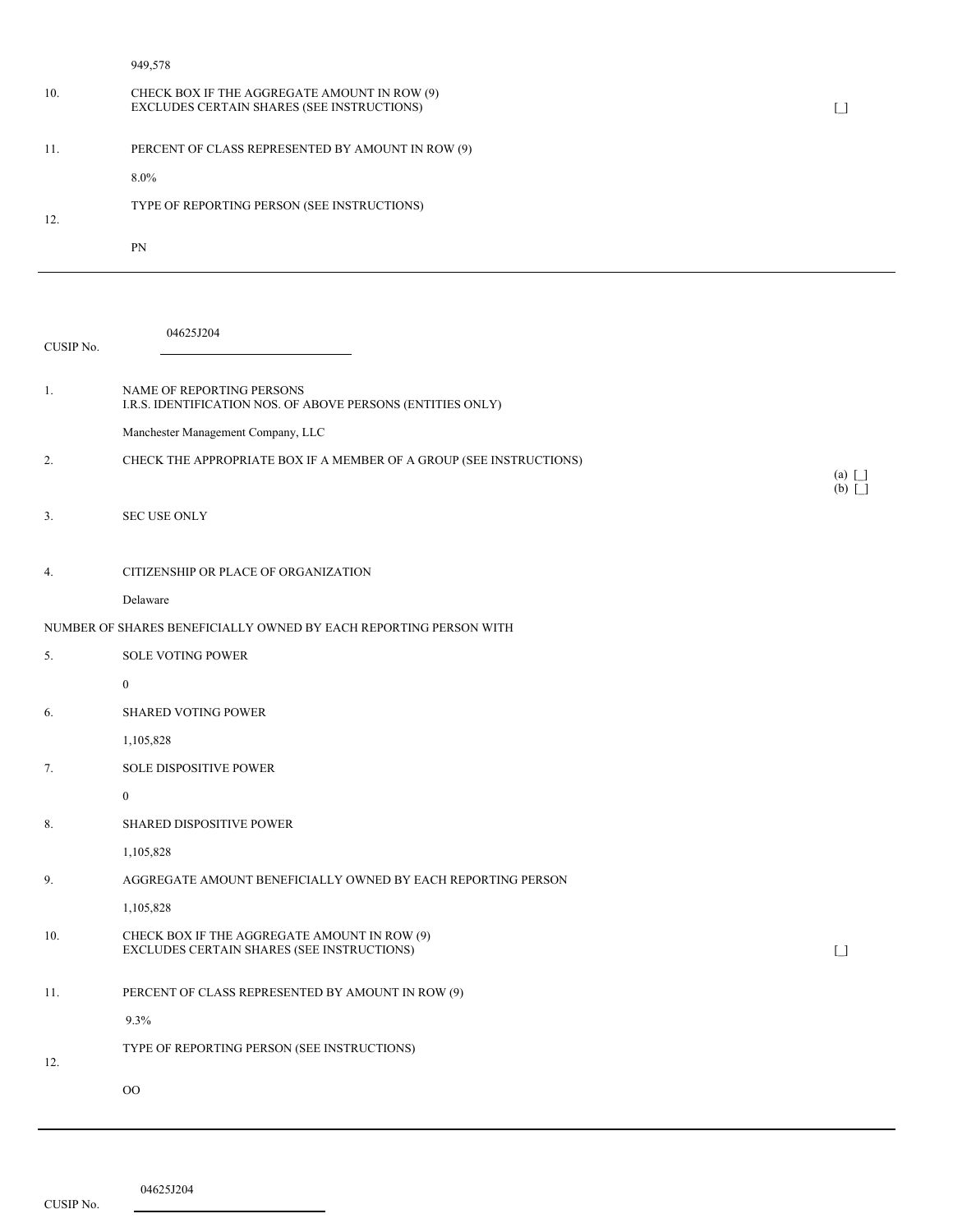949,578

| 10. | CHECK BOX IF THE AGGREGATE AMOUNT IN ROW (9)<br>EXCLUDES CERTAIN SHARES (SEE INSTRUCTIONS) |  |
|-----|--------------------------------------------------------------------------------------------|--|
| 11. | PERCENT OF CLASS REPRESENTED BY AMOUNT IN ROW (9)                                          |  |
|     | $8.0\%$                                                                                    |  |
| 12. | TYPE OF REPORTING PERSON (SEE INSTRUCTIONS)                                                |  |
|     | PN                                                                                         |  |
|     |                                                                                            |  |

| CUSIP No. | 04625J204                                                                                  |                 |
|-----------|--------------------------------------------------------------------------------------------|-----------------|
| 1.        | NAME OF REPORTING PERSONS<br>I.R.S. IDENTIFICATION NOS. OF ABOVE PERSONS (ENTITIES ONLY)   |                 |
|           | Manchester Management Company, LLC                                                         |                 |
| 2.        | CHECK THE APPROPRIATE BOX IF A MEMBER OF A GROUP (SEE INSTRUCTIONS)                        | $(a)$ $\Box$    |
| 3.        | <b>SEC USE ONLY</b>                                                                        | $(b)$ $\Box$    |
| 4.        | CITIZENSHIP OR PLACE OF ORGANIZATION                                                       |                 |
|           | Delaware                                                                                   |                 |
|           | NUMBER OF SHARES BENEFICIALLY OWNED BY EACH REPORTING PERSON WITH                          |                 |
| 5.        | <b>SOLE VOTING POWER</b>                                                                   |                 |
|           | $\mathbf{0}$                                                                               |                 |
| 6.        | <b>SHARED VOTING POWER</b>                                                                 |                 |
|           | 1,105,828                                                                                  |                 |
| 7.        | SOLE DISPOSITIVE POWER                                                                     |                 |
|           | $\mathbf{0}$                                                                               |                 |
| 8.        | <b>SHARED DISPOSITIVE POWER</b>                                                            |                 |
|           | 1,105,828                                                                                  |                 |
| 9.        | AGGREGATE AMOUNT BENEFICIALLY OWNED BY EACH REPORTING PERSON                               |                 |
|           | 1,105,828                                                                                  |                 |
| 10.       | CHECK BOX IF THE AGGREGATE AMOUNT IN ROW (9)<br>EXCLUDES CERTAIN SHARES (SEE INSTRUCTIONS) | $\lceil \rceil$ |
| 11.       | PERCENT OF CLASS REPRESENTED BY AMOUNT IN ROW (9)                                          |                 |
|           | 9.3%                                                                                       |                 |
| 12.       | TYPE OF REPORTING PERSON (SEE INSTRUCTIONS)                                                |                 |
|           | O <sub>O</sub>                                                                             |                 |

04625J204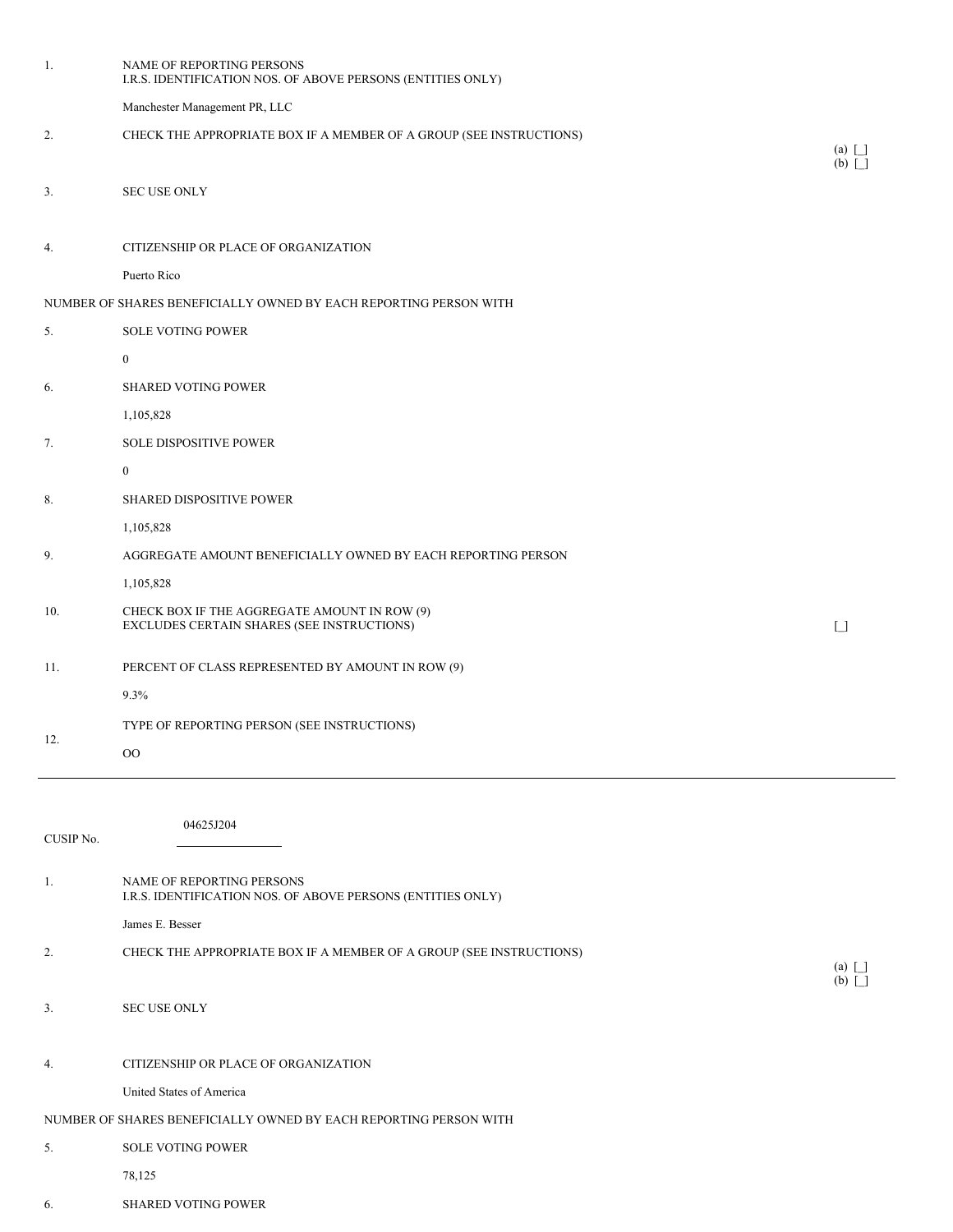| 1.        | NAME OF REPORTING PERSONS<br>I.R.S. IDENTIFICATION NOS. OF ABOVE PERSONS (ENTITIES ONLY)   |                                        |
|-----------|--------------------------------------------------------------------------------------------|----------------------------------------|
|           | Manchester Management PR, LLC                                                              |                                        |
| 2.        | CHECK THE APPROPRIATE BOX IF A MEMBER OF A GROUP (SEE INSTRUCTIONS)                        | $(a)$ $\Box$                           |
|           |                                                                                            | $(b)$ $\Box$                           |
| 3.        | <b>SEC USE ONLY</b>                                                                        |                                        |
|           |                                                                                            |                                        |
| 4.        | CITIZENSHIP OR PLACE OF ORGANIZATION                                                       |                                        |
|           | Puerto Rico                                                                                |                                        |
|           | NUMBER OF SHARES BENEFICIALLY OWNED BY EACH REPORTING PERSON WITH                          |                                        |
| 5.        | <b>SOLE VOTING POWER</b>                                                                   |                                        |
|           | $\bf{0}$                                                                                   |                                        |
| 6.        | SHARED VOTING POWER                                                                        |                                        |
|           | 1,105,828                                                                                  |                                        |
| 7.        | SOLE DISPOSITIVE POWER                                                                     |                                        |
|           | $\boldsymbol{0}$                                                                           |                                        |
| 8.        | SHARED DISPOSITIVE POWER                                                                   |                                        |
|           | 1,105,828                                                                                  |                                        |
| 9.        | AGGREGATE AMOUNT BENEFICIALLY OWNED BY EACH REPORTING PERSON                               |                                        |
|           | 1,105,828                                                                                  |                                        |
| 10.       | CHECK BOX IF THE AGGREGATE AMOUNT IN ROW (9)<br>EXCLUDES CERTAIN SHARES (SEE INSTRUCTIONS) | $\begin{array}{c} \square \end{array}$ |
| 11.       | PERCENT OF CLASS REPRESENTED BY AMOUNT IN ROW (9)                                          |                                        |
|           | $9.3\%$                                                                                    |                                        |
|           | TYPE OF REPORTING PERSON (SEE INSTRUCTIONS)                                                |                                        |
| 12.       | $00\,$                                                                                     |                                        |
|           |                                                                                            |                                        |
|           |                                                                                            |                                        |
| CUSIP No. | 04625J204                                                                                  |                                        |
|           |                                                                                            |                                        |
| 1.        | NAME OF REPORTING PERSONS<br>I.R.S. IDENTIFICATION NOS. OF ABOVE PERSONS (ENTITIES ONLY)   |                                        |
|           | James E. Besser                                                                            |                                        |
| 2.        | CHECK THE APPROPRIATE BOX IF A MEMBER OF A GROUP (SEE INSTRUCTIONS)                        |                                        |
|           |                                                                                            | $(a)$ $\Box$<br>$(b)$ $\Box$           |
| 3.        | <b>SEC USE ONLY</b>                                                                        |                                        |
|           |                                                                                            |                                        |
| 4.        | CITIZENSHIP OR PLACE OF ORGANIZATION                                                       |                                        |
|           | United States of America                                                                   |                                        |
|           | NUMBER OF SHARES BENEFICIALLY OWNED BY EACH REPORTING PERSON WITH                          |                                        |
| 5.        | <b>SOLE VOTING POWER</b>                                                                   |                                        |
|           | 78,125                                                                                     |                                        |
| 6.        | <b>SHARED VOTING POWER</b>                                                                 |                                        |
|           |                                                                                            |                                        |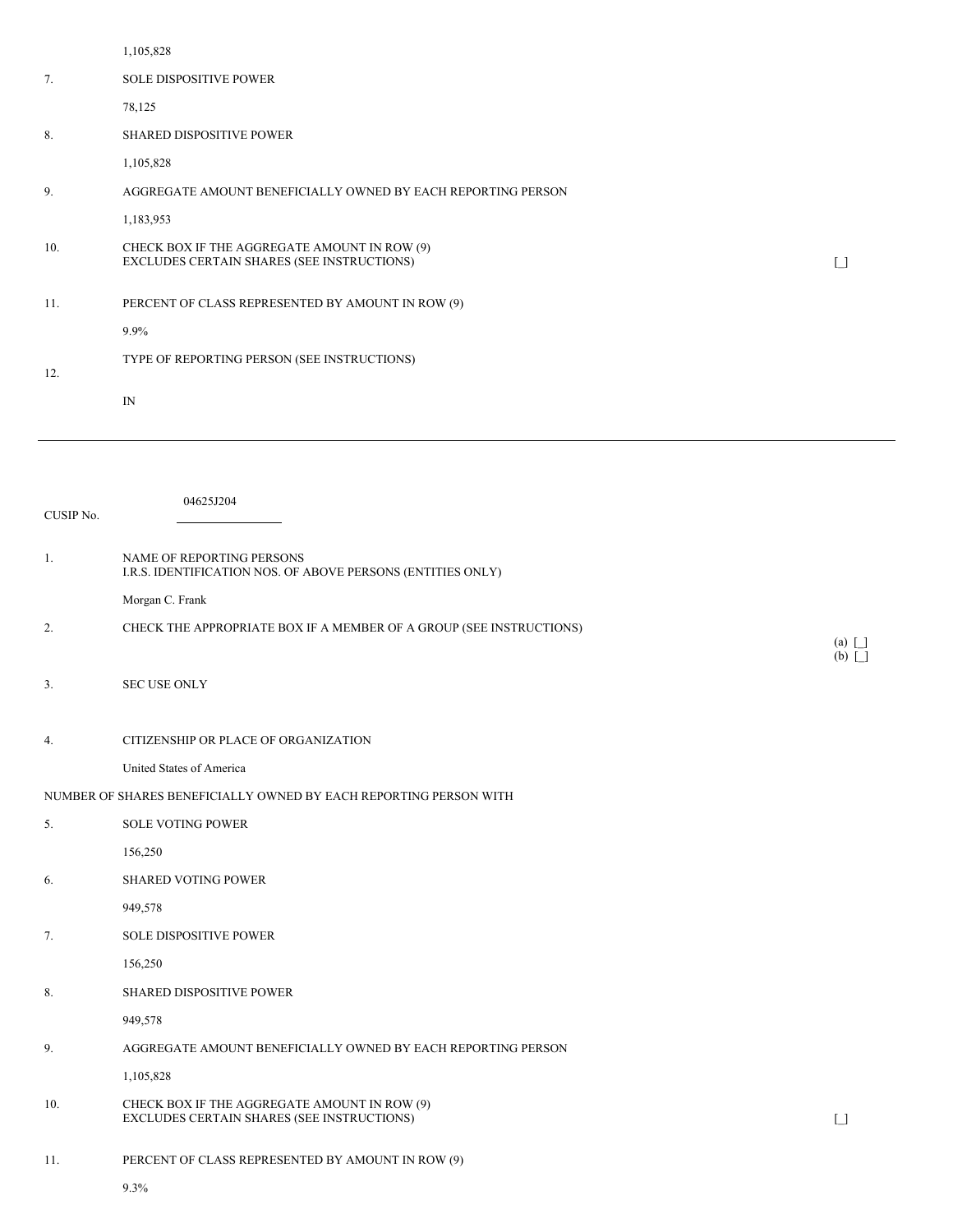|     | 1,105,828                                                                                  |  |
|-----|--------------------------------------------------------------------------------------------|--|
| 7.  | <b>SOLE DISPOSITIVE POWER</b>                                                              |  |
|     | 78,125                                                                                     |  |
| 8.  | SHARED DISPOSITIVE POWER                                                                   |  |
|     | 1,105,828                                                                                  |  |
| 9.  | AGGREGATE AMOUNT BENEFICIALLY OWNED BY EACH REPORTING PERSON                               |  |
|     | 1,183,953                                                                                  |  |
| 10. | CHECK BOX IF THE AGGREGATE AMOUNT IN ROW (9)<br>EXCLUDES CERTAIN SHARES (SEE INSTRUCTIONS) |  |
| 11. | PERCENT OF CLASS REPRESENTED BY AMOUNT IN ROW (9)                                          |  |
|     | $9.9\%$                                                                                    |  |
| 12. | TYPE OF REPORTING PERSON (SEE INSTRUCTIONS)                                                |  |
|     | IN                                                                                         |  |

| CUSIP No. | 04625J204                                                                                  |                                        |
|-----------|--------------------------------------------------------------------------------------------|----------------------------------------|
| 1.        | NAME OF REPORTING PERSONS<br>I.R.S. IDENTIFICATION NOS. OF ABOVE PERSONS (ENTITIES ONLY)   |                                        |
|           | Morgan C. Frank                                                                            |                                        |
| 2.        | CHECK THE APPROPRIATE BOX IF A MEMBER OF A GROUP (SEE INSTRUCTIONS)                        | $(a)$ $\Box$<br>$(b)$ $\Box$           |
| 3.        | SEC USE ONLY                                                                               |                                        |
| 4.        | CITIZENSHIP OR PLACE OF ORGANIZATION                                                       |                                        |
|           | United States of America                                                                   |                                        |
|           | NUMBER OF SHARES BENEFICIALLY OWNED BY EACH REPORTING PERSON WITH                          |                                        |
| 5.        | <b>SOLE VOTING POWER</b>                                                                   |                                        |
|           | 156,250                                                                                    |                                        |
| 6.        | <b>SHARED VOTING POWER</b>                                                                 |                                        |
|           | 949,578                                                                                    |                                        |
| 7.        | <b>SOLE DISPOSITIVE POWER</b>                                                              |                                        |
|           | 156,250                                                                                    |                                        |
| 8.        | <b>SHARED DISPOSITIVE POWER</b>                                                            |                                        |
|           | 949,578                                                                                    |                                        |
| 9.        | AGGREGATE AMOUNT BENEFICIALLY OWNED BY EACH REPORTING PERSON                               |                                        |
|           | 1,105,828                                                                                  |                                        |
| 10.       | CHECK BOX IF THE AGGREGATE AMOUNT IN ROW (9)<br>EXCLUDES CERTAIN SHARES (SEE INSTRUCTIONS) | $\begin{array}{c} \square \end{array}$ |
| 11.       | PERCENT OF CLASS REPRESENTED BY AMOUNT IN ROW (9)                                          |                                        |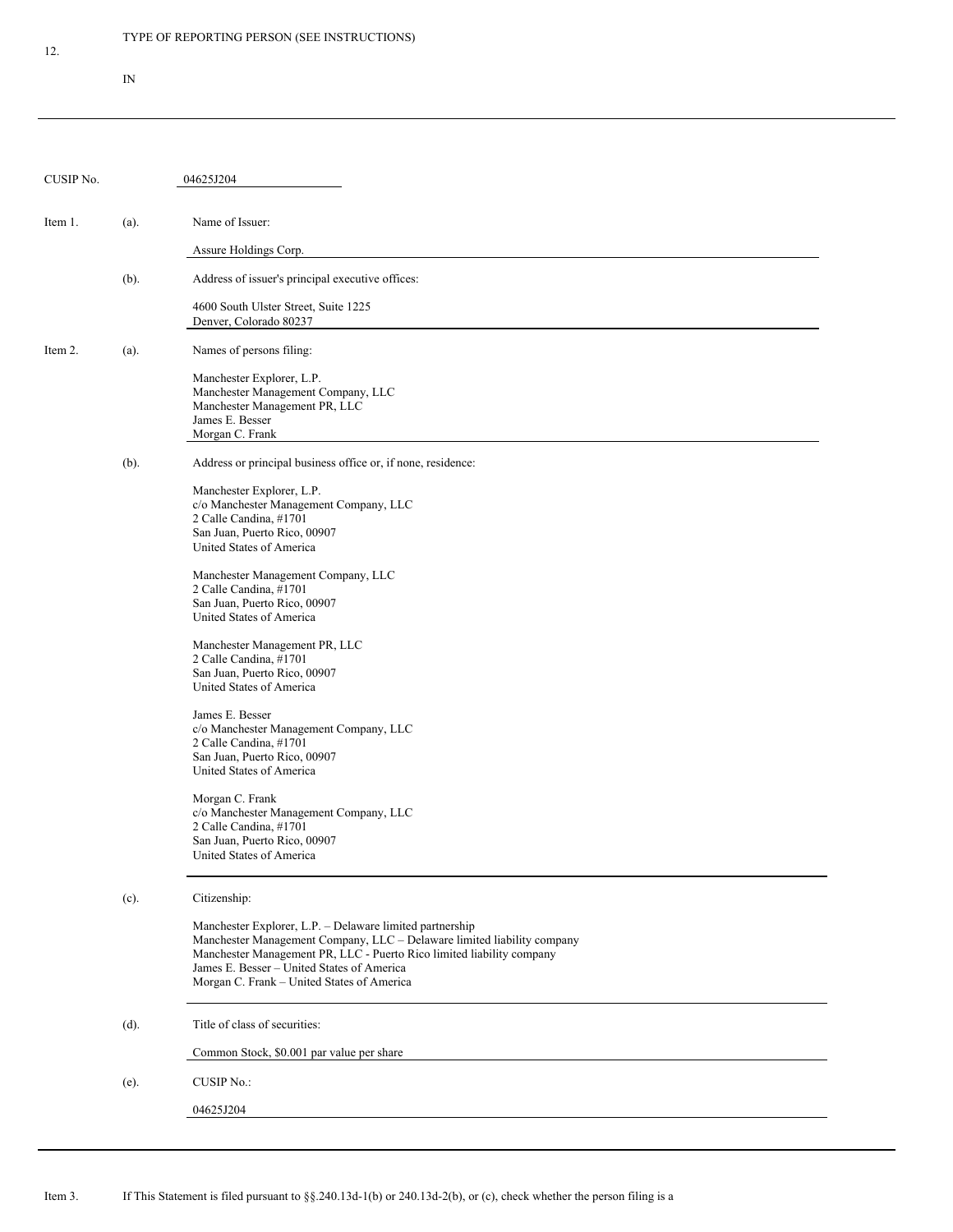IN

| CUSIP No. |         | 04625J204                                                                                                                                                                                                                                                                                                |
|-----------|---------|----------------------------------------------------------------------------------------------------------------------------------------------------------------------------------------------------------------------------------------------------------------------------------------------------------|
| Item 1.   | (a).    | Name of Issuer:                                                                                                                                                                                                                                                                                          |
|           |         | Assure Holdings Corp.                                                                                                                                                                                                                                                                                    |
|           | $(b)$ . | Address of issuer's principal executive offices:                                                                                                                                                                                                                                                         |
|           |         | 4600 South Ulster Street, Suite 1225<br>Denver, Colorado 80237                                                                                                                                                                                                                                           |
| Item 2.   | (a).    | Names of persons filing:                                                                                                                                                                                                                                                                                 |
|           |         | Manchester Explorer, L.P.<br>Manchester Management Company, LLC<br>Manchester Management PR, LLC<br>James E. Besser<br>Morgan C. Frank                                                                                                                                                                   |
|           | $(b)$ . | Address or principal business office or, if none, residence:                                                                                                                                                                                                                                             |
|           |         | Manchester Explorer, L.P.<br>c/o Manchester Management Company, LLC<br>2 Calle Candina, #1701<br>San Juan, Puerto Rico, 00907<br>United States of America                                                                                                                                                |
|           |         | Manchester Management Company, LLC<br>2 Calle Candina, #1701<br>San Juan, Puerto Rico, 00907<br>United States of America                                                                                                                                                                                 |
|           |         | Manchester Management PR, LLC<br>2 Calle Candina, #1701<br>San Juan, Puerto Rico, 00907<br>United States of America                                                                                                                                                                                      |
|           |         | James E. Besser<br>c/o Manchester Management Company, LLC<br>2 Calle Candina, #1701<br>San Juan, Puerto Rico, 00907<br>United States of America                                                                                                                                                          |
|           |         | Morgan C. Frank<br>c/o Manchester Management Company, LLC<br>2 Calle Candina, #1701<br>San Juan, Puerto Rico, 00907<br>United States of America                                                                                                                                                          |
|           | (c).    | Citizenship:                                                                                                                                                                                                                                                                                             |
|           |         | Manchester Explorer, L.P. - Delaware limited partnership<br>Manchester Management Company, LLC - Delaware limited liability company<br>Manchester Management PR, LLC - Puerto Rico limited liability company<br>James E. Besser - United States of America<br>Morgan C. Frank - United States of America |
|           | $(d)$ . | Title of class of securities:                                                                                                                                                                                                                                                                            |
|           |         | Common Stock, \$0.001 par value per share                                                                                                                                                                                                                                                                |
|           | (e).    | <b>CUSIP No.:</b>                                                                                                                                                                                                                                                                                        |
|           |         | 04625J204                                                                                                                                                                                                                                                                                                |
|           |         |                                                                                                                                                                                                                                                                                                          |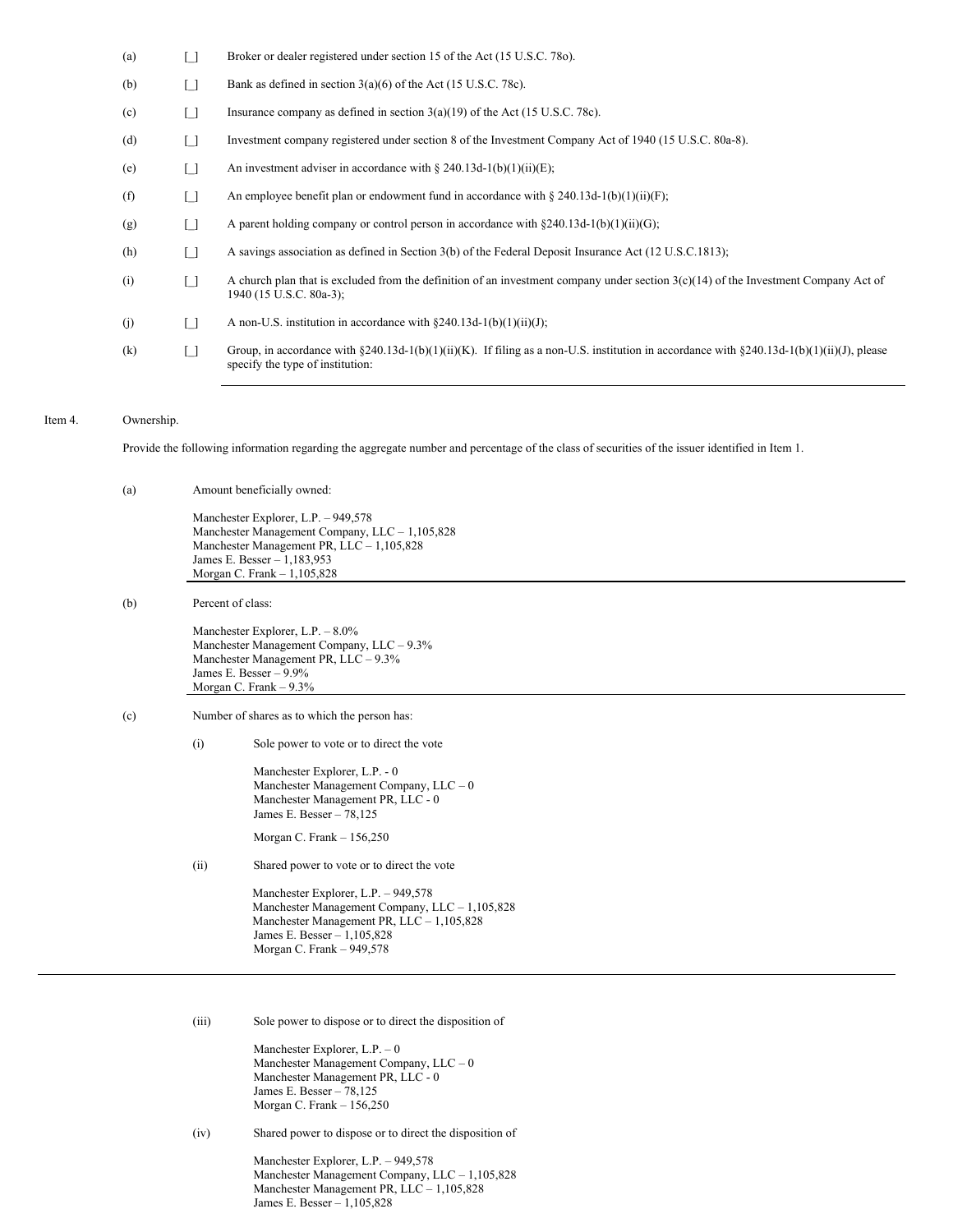| (a) |                   | Broker or dealer registered under section 15 of the Act (15 U.S.C. 780).                                                                                                      |
|-----|-------------------|-------------------------------------------------------------------------------------------------------------------------------------------------------------------------------|
| (b) |                   | Bank as defined in section $3(a)(6)$ of the Act (15 U.S.C. 78c).                                                                                                              |
| (c) |                   | Insurance company as defined in section $3(a)(19)$ of the Act (15 U.S.C. 78c).                                                                                                |
| (d) | $\lceil$ $\rceil$ | Investment company registered under section 8 of the Investment Company Act of 1940 (15 U.S.C. 80a-8).                                                                        |
| (e) |                   | An investment adviser in accordance with $\S 240.13d-1(b)(1)(ii)(E)$ ;                                                                                                        |
| (f) |                   | An employee benefit plan or endowment fund in accordance with $\S 240.13d-1(b)(1)(ii)(F)$ ;                                                                                   |
| (g) | $\lceil$          | A parent holding company or control person in accordance with $\S 240.13d-1(b)(1)(ii)(G);$                                                                                    |
| (h) | $\lceil$ $\rceil$ | A savings association as defined in Section 3(b) of the Federal Deposit Insurance Act (12 U.S.C.1813);                                                                        |
| (i) |                   | A church plan that is excluded from the definition of an investment company under section $3(c)(14)$ of the Investment Company Act of<br>1940 (15 U.S.C. 80a-3);              |
| (i) | $\lceil$ $\rceil$ | A non-U.S. institution in accordance with $\S 240.13d-1(b)(1)(ii)(J)$ ;                                                                                                       |
| (k) |                   | Group, in accordance with §240.13d-1(b)(1)(ii)(K). If filing as a non-U.S. institution in accordance with §240.13d-1(b)(1)(ii)(J), please<br>specify the type of institution: |

# Item 4. Ownership.

Provide the following information regarding the aggregate number and percentage of the class of securities of the issuer identified in Item 1.

(a) Amount beneficially owned:

Manchester Explorer, L.P. – 949,578 Manchester Management Company, LLC – 1,105,828 Manchester Management PR, LLC – 1,105,828 James E. Besser – 1,183,953 Morgan C. Frank – 1,105,828

(b) Percent of class:

Manchester Explorer, L.P. – 8.0% Manchester Management Company, LLC – 9.3% Manchester Management PR, LLC – 9.3% James E. Besser – 9.9% Morgan C. Frank – 9.3%

- (c) Number of shares as to which the person has:
	- (i) Sole power to vote or to direct the vote

Manchester Explorer, L.P. - 0 Manchester Management Company, LLC – 0 Manchester Management PR, LLC - 0 James E. Besser – 78,125

Morgan C. Frank – 156,250

(ii) Shared power to vote or to direct the vote

Manchester Explorer, L.P. – 949,578 Manchester Management Company, LLC – 1,105,828 Manchester Management PR, LLC – 1,105,828 James E. Besser – 1,105,828 Morgan C. Frank – 949,578

(iii) Sole power to dispose or to direct the disposition of

Manchester Explorer, L.P. – 0 Manchester Management Company, LLC – 0 Manchester Management PR, LLC - 0 James E. Besser – 78,125 Morgan C. Frank – 156,250

(iv) Shared power to dispose or to direct the disposition of

Manchester Explorer, L.P. – 949,578 Manchester Management Company, LLC – 1,105,828 Manchester Management PR, LLC – 1,105,828 James E. Besser – 1,105,828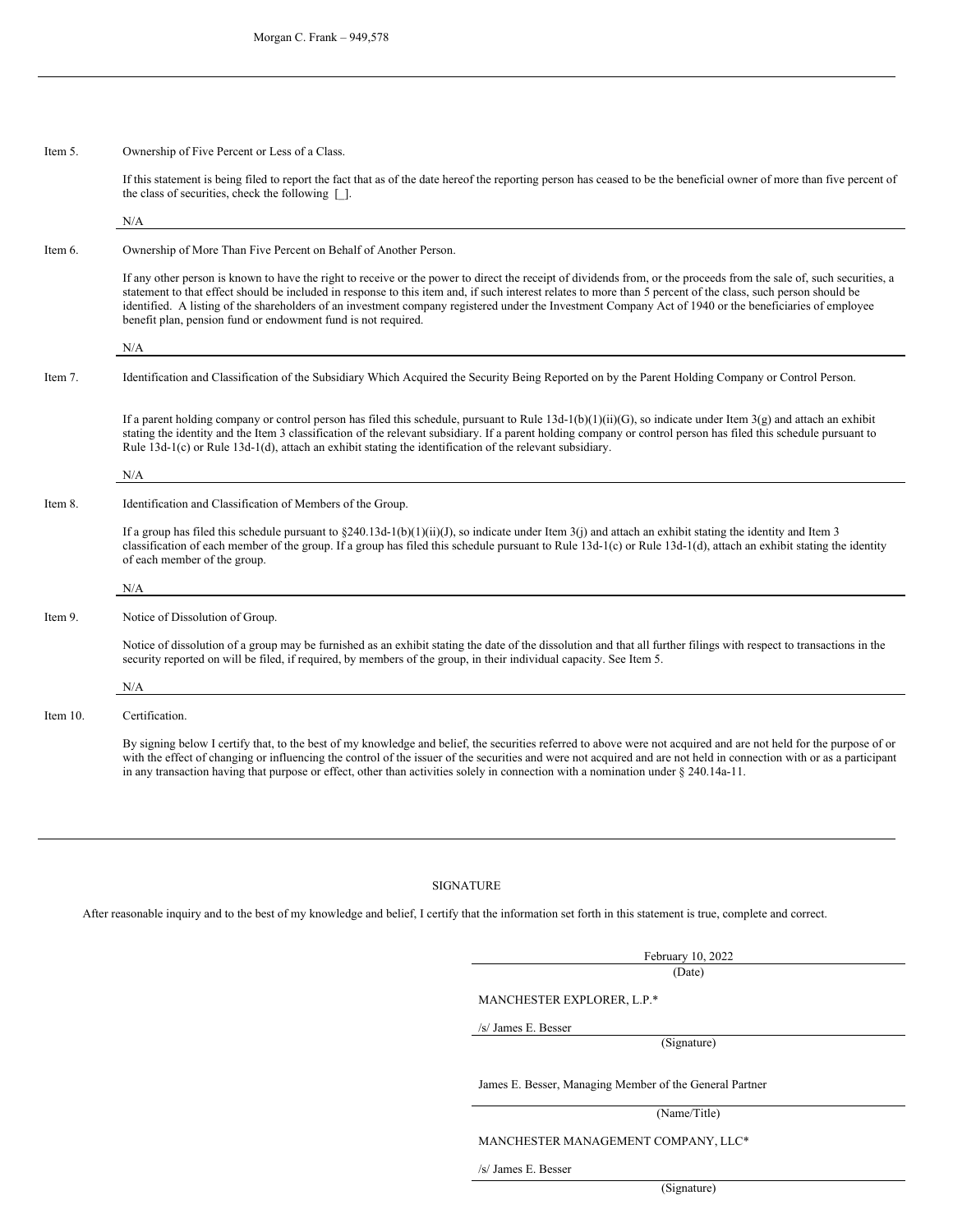| Item 5. |  | Ownership of Five Percent or Less of a Class. |  |  |
|---------|--|-----------------------------------------------|--|--|
|---------|--|-----------------------------------------------|--|--|

N/A

Item 9.

Item 10.

If this statement is being filed to report the fact that as of the date hereof the reporting person has ceased to be the beneficial owner of more than five percent of the class of securities, check the following [\_].

| Item 6.  | Ownership of More Than Five Percent on Behalf of Another Person.                                                                                                                                                                                                                                                                                                                                                                                                                                                                                                  |
|----------|-------------------------------------------------------------------------------------------------------------------------------------------------------------------------------------------------------------------------------------------------------------------------------------------------------------------------------------------------------------------------------------------------------------------------------------------------------------------------------------------------------------------------------------------------------------------|
|          | If any other person is known to have the right to receive or the power to direct the receipt of dividends from, or the proceeds from the sale of, such securities, a<br>statement to that effect should be included in response to this item and, if such interest relates to more than 5 percent of the class, such person should be<br>identified. A listing of the shareholders of an investment company registered under the Investment Company Act of 1940 or the beneficiaries of employee<br>benefit plan, pension fund or endowment fund is not required. |
|          | N/A                                                                                                                                                                                                                                                                                                                                                                                                                                                                                                                                                               |
| Item 7.  | Identification and Classification of the Subsidiary Which Acquired the Security Being Reported on by the Parent Holding Company or Control Person.                                                                                                                                                                                                                                                                                                                                                                                                                |
|          | If a parent holding company or control person has filed this schedule, pursuant to Rule 13d-1(b)(1)(ii)(G), so indicate under Item $3(g)$ and attach an exhibit<br>stating the identity and the Item 3 classification of the relevant subsidiary. If a parent holding company or control person has filed this schedule pursuant to<br>Rule $13d-1(c)$ or Rule $13d-1(d)$ , attach an exhibit stating the identification of the relevant subsidiary.                                                                                                              |
|          | N/A                                                                                                                                                                                                                                                                                                                                                                                                                                                                                                                                                               |
| Item 8.  | Identification and Classification of Members of the Group.                                                                                                                                                                                                                                                                                                                                                                                                                                                                                                        |
|          | If a group has filed this schedule pursuant to $\S 240.13d-1(b)(1)(ii)(J)$ , so indicate under Item 3(j) and attach an exhibit stating the identity and Item 3<br>classification of each member of the group. If a group has filed this schedule pursuant to Rule 13d-1(c) or Rule 13d-1(d), attach an exhibit stating the identity<br>of each member of the group.                                                                                                                                                                                               |
|          | N/A                                                                                                                                                                                                                                                                                                                                                                                                                                                                                                                                                               |
| Item 9.  | Notice of Dissolution of Group.                                                                                                                                                                                                                                                                                                                                                                                                                                                                                                                                   |
|          | Notice of dissolution of a group may be furnished as an exhibit stating the date of the dissolution and that all further filings with respect to transactions in the<br>security reported on will be filed, if required, by members of the group, in their individual capacity. See Item 5.                                                                                                                                                                                                                                                                       |
|          | N/A                                                                                                                                                                                                                                                                                                                                                                                                                                                                                                                                                               |
| Item 10. | Certification.                                                                                                                                                                                                                                                                                                                                                                                                                                                                                                                                                    |

By signing below I certify that, to the best of my knowledge and belief, the securities referred to above were not acquired and are not held for the purpose of or with the effect of changing or influencing the control of the issuer of the securities and were not acquired and are not held in connection with or as a participant in any transaction having that purpose or effect, other than activities solely in connection with a nomination under § 240.14a-11.

#### SIGNATURE

After reasonable inquiry and to the best of my knowledge and belief, I certify that the information set forth in this statement is true, complete and correct.

February 10, 2022 (Date)

MANCHESTER EXPLORER, L.P.\*

/s/ James E. Besser

(Signature)

James E. Besser, Managing Member of the General Partner

(Name/Title)

MANCHESTER MANAGEMENT COMPANY, LLC\*

/s/ James E. Besser

(Signature)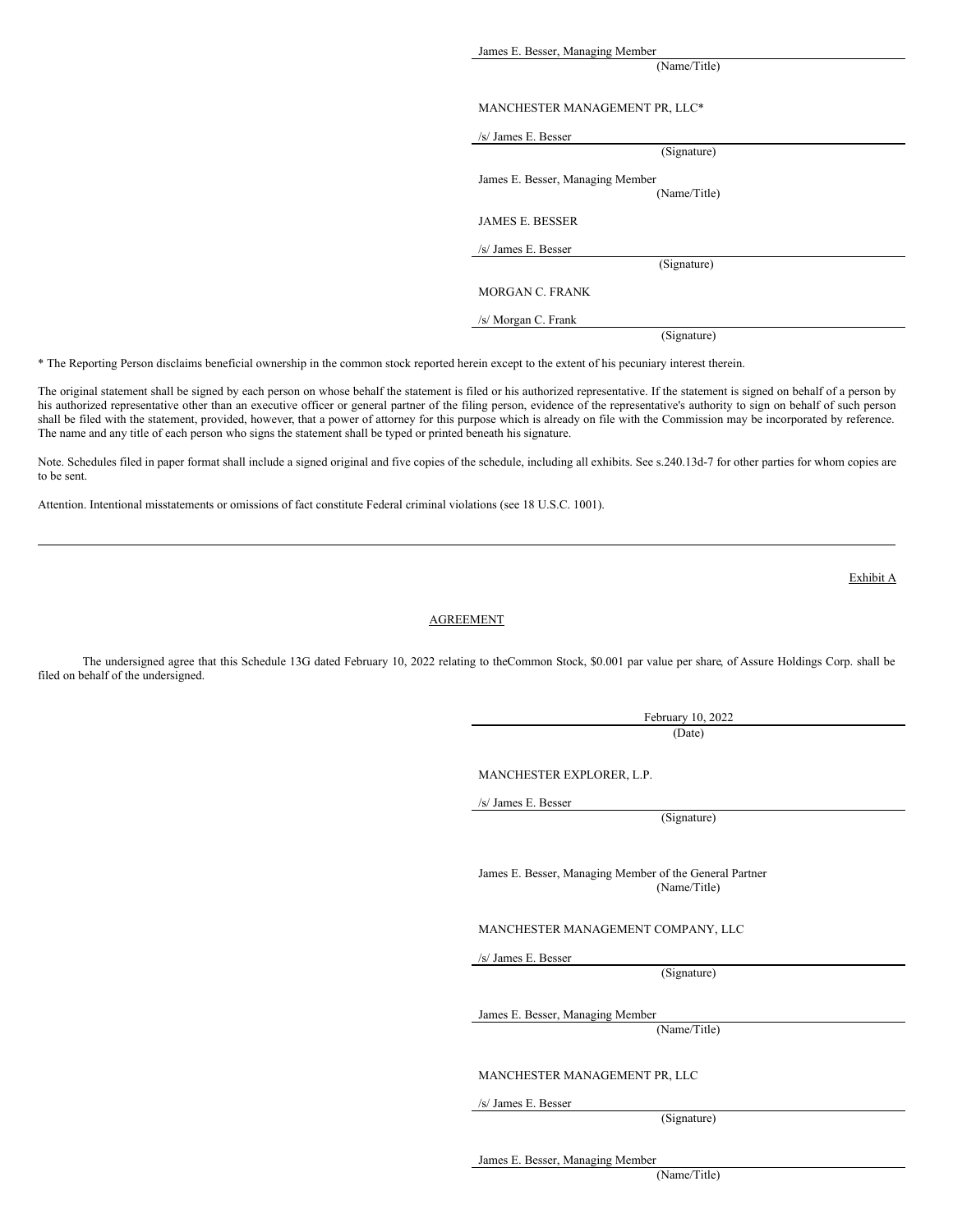James E. Besser, Managing Member

(Name/Title)

### MANCHESTER MANAGEMENT PR, LLC\*

| /s/ James E. Besser              |
|----------------------------------|
| (Signature)                      |
| James E. Besser, Managing Member |
| (Name/Title)                     |
| <b>JAMES E. BESSER</b>           |
| /s/ James E. Besser              |
| (Signature)                      |
| MORGAN C. FRANK                  |
| /s/ Morgan C. Frank              |
| (Signature)                      |

\* The Reporting Person disclaims beneficial ownership in the common stock reported herein except to the extent of his pecuniary interest therein.

The original statement shall be signed by each person on whose behalf the statement is filed or his authorized representative. If the statement is signed on behalf of a person by his authorized representative other than an executive officer or general partner of the filing person, evidence of the representative's authority to sign on behalf of such person shall be filed with the statement, provided, however, that a power of attorney for this purpose which is already on file with the Commission may be incorporated by reference. The name and any title of each person who signs the statement shall be typed or printed beneath his signature.

Note. Schedules filed in paper format shall include a signed original and five copies of the schedule, including all exhibits. See s.240.13d-7 for other parties for whom copies are to be sent.

Attention. Intentional misstatements or omissions of fact constitute Federal criminal violations (see 18 U.S.C. 1001).

### AGREEMENT

The undersigned agree that this Schedule 13G dated February 10, 2022 relating to theCommon Stock, \$0.001 par value per share, of Assure Holdings Corp. shall be filed on behalf of the undersigned.

> February 10, 2022 (Date)

MANCHESTER EXPLORER, L.P.

/s/ James E. Besser

(Signature)

James E. Besser, Managing Member of the General Partner (Name/Title)

MANCHESTER MANAGEMENT COMPANY, LLC

/s/ James E. Besser

(Signature)

James E. Besser, Managing Member

(Name/Title)

MANCHESTER MANAGEMENT PR, LLC

/s/ James E. Besser

(Signature)

James E. Besser, Managing Member

(Name/Title)